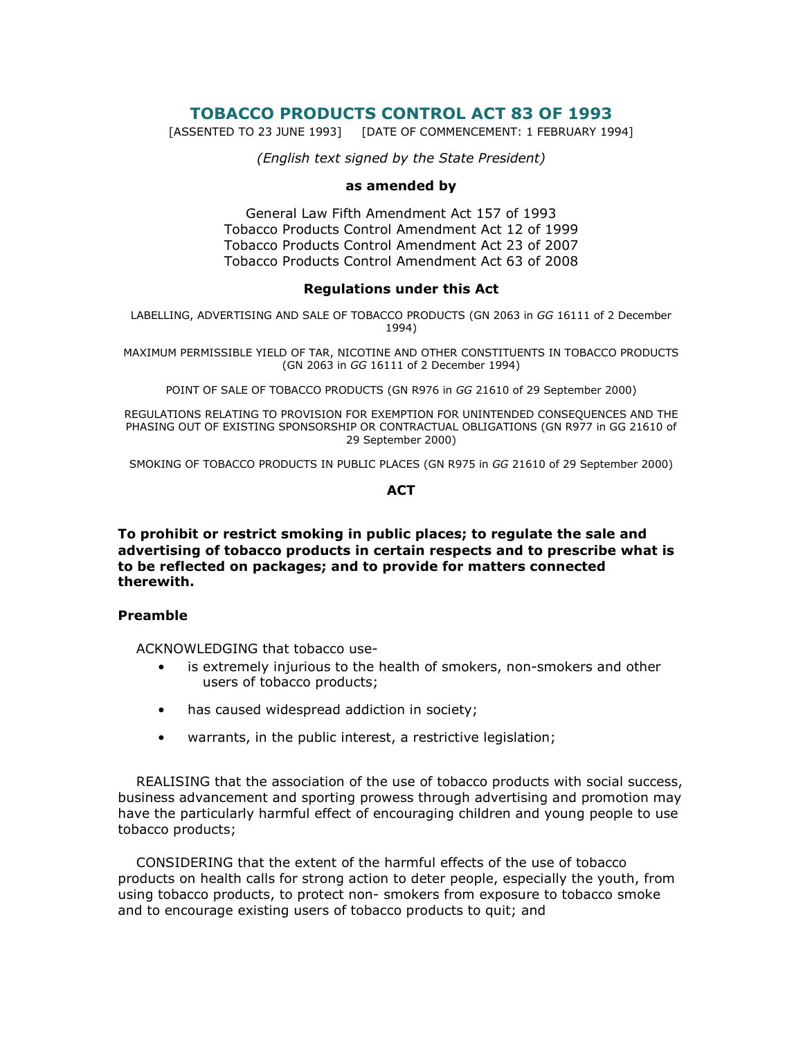# TOBACCO PRODUCTS CONTROL ACT 83 OF 1993

[ASSENTED TO 23 JUNE 1993] [DATE OF COMMENCEMENT: 1 FEBRUARY 1994]

(English text signed by the State President)

#### as amended by

General Law Fifth Amendment Act 157 of 1993 Tobacco Products Control Amendment Act 12 of 1999 Tobacco Products Control Amendment Act 23 of 2007 Tobacco Products Control Amendment Act 63 of 2008

#### Regulations under this Act

LABELLING, ADVERTISING AND SALE OF TOBACCO PRODUCTS (GN 2063 in GG 16111 of 2 December 1994)

MAXIMUM PERMISSIBLE YIELD OF TAR, NICOTINE AND OTHER CONSTITUENTS IN TOBACCO PRODUCTS (GN 2063 in GG 16111 of 2 December 1994)

POINT OF SALE OF TOBACCO PRODUCTS (GN R976 in GG 21610 of 29 September 2000)

REGULATIONS RELATING TO PROVISION FOR EXEMPTION FOR UNINTENDED CONSEQUENCES AND THE PHASING OUT OF EXISTING SPONSORSHIP OR CONTRACTUAL OBLIGATIONS (GN R977 in GG 21610 of 29 September 2000)

SMOKING OF TOBACCO PRODUCTS IN PUBLIC PLACES (GN R975 in GG 21610 of 29 September 2000)

#### **ACT**

To prohibit or restrict smoking in public places; to regulate the sale and advertising of tobacco products in certain respects and to prescribe what is to be reflected on packages; and to provide for matters connected therewith.

### Preamble

ACKNOWLEDGING that tobacco use-

- is extremely injurious to the health of smokers, non-smokers and other users of tobacco products;
- has caused widespread addiction in society;
- warrants, in the public interest, a restrictive legislation;

 REALISING that the association of the use of tobacco products with social success, business advancement and sporting prowess through advertising and promotion may have the particularly harmful effect of encouraging children and young people to use tobacco products;

 CONSIDERING that the extent of the harmful effects of the use of tobacco products on health calls for strong action to deter people, especially the youth, from using tobacco products, to protect non- smokers from exposure to tobacco smoke and to encourage existing users of tobacco products to quit; and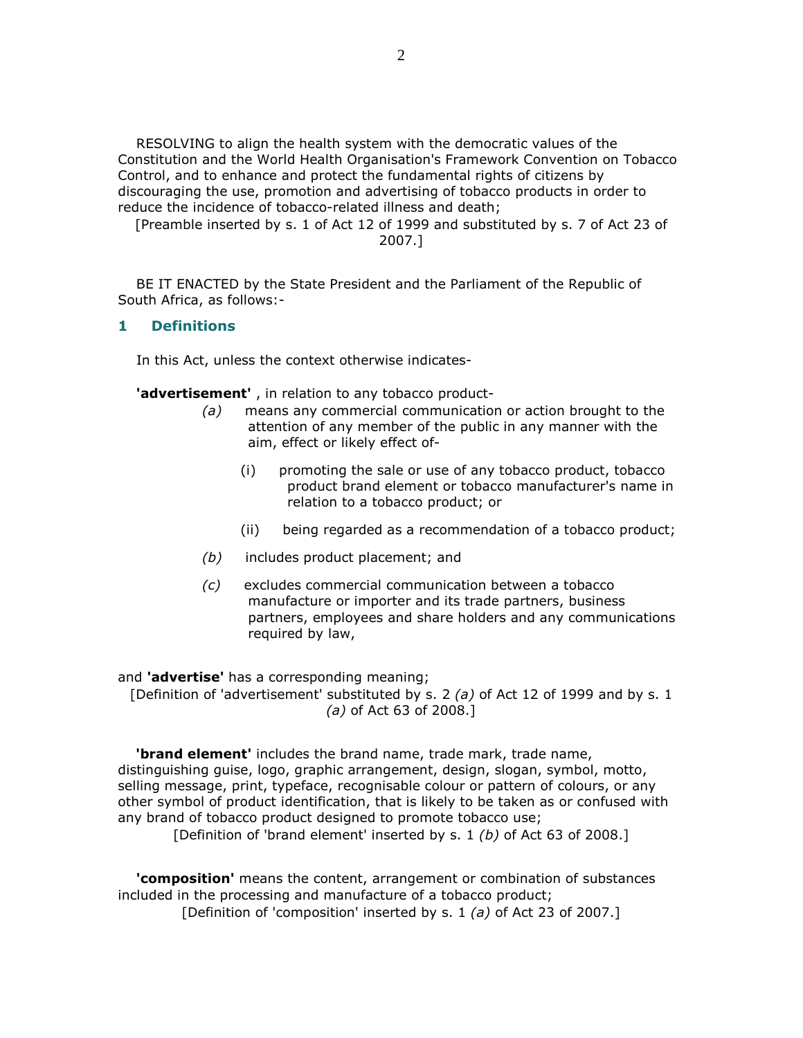RESOLVING to align the health system with the democratic values of the Constitution and the World Health Organisation's Framework Convention on Tobacco Control, and to enhance and protect the fundamental rights of citizens by discouraging the use, promotion and advertising of tobacco products in order to reduce the incidence of tobacco-related illness and death;

[Preamble inserted by s. 1 of Act 12 of 1999 and substituted by s. 7 of Act 23 of 2007.]

 BE IT ENACTED by the State President and the Parliament of the Republic of South Africa, as follows:-

### 1 Definitions

In this Act, unless the context otherwise indicates-

'advertisement', in relation to any tobacco product-

- (a) means any commercial communication or action brought to the attention of any member of the public in any manner with the aim, effect or likely effect of-
	- (i) promoting the sale or use of any tobacco product, tobacco product brand element or tobacco manufacturer's name in relation to a tobacco product; or
	- (ii) being regarded as a recommendation of a tobacco product;
- (b) includes product placement; and
- (c) excludes commercial communication between a tobacco manufacture or importer and its trade partners, business partners, employees and share holders and any communications required by law,

and 'advertise' has a corresponding meaning; [Definition of 'advertisement' substituted by s. 2 (a) of Act 12 of 1999 and by s. 1 (a) of Act 63 of 2008.]

**'brand element'** includes the brand name, trade mark, trade name, distinguishing guise, logo, graphic arrangement, design, slogan, symbol, motto, selling message, print, typeface, recognisable colour or pattern of colours, or any other symbol of product identification, that is likely to be taken as or confused with any brand of tobacco product designed to promote tobacco use;

[Definition of 'brand element' inserted by s. 1 (b) of Act 63 of 2008.]

 'composition' means the content, arrangement or combination of substances included in the processing and manufacture of a tobacco product;

[Definition of 'composition' inserted by s. 1 (a) of Act 23 of 2007.]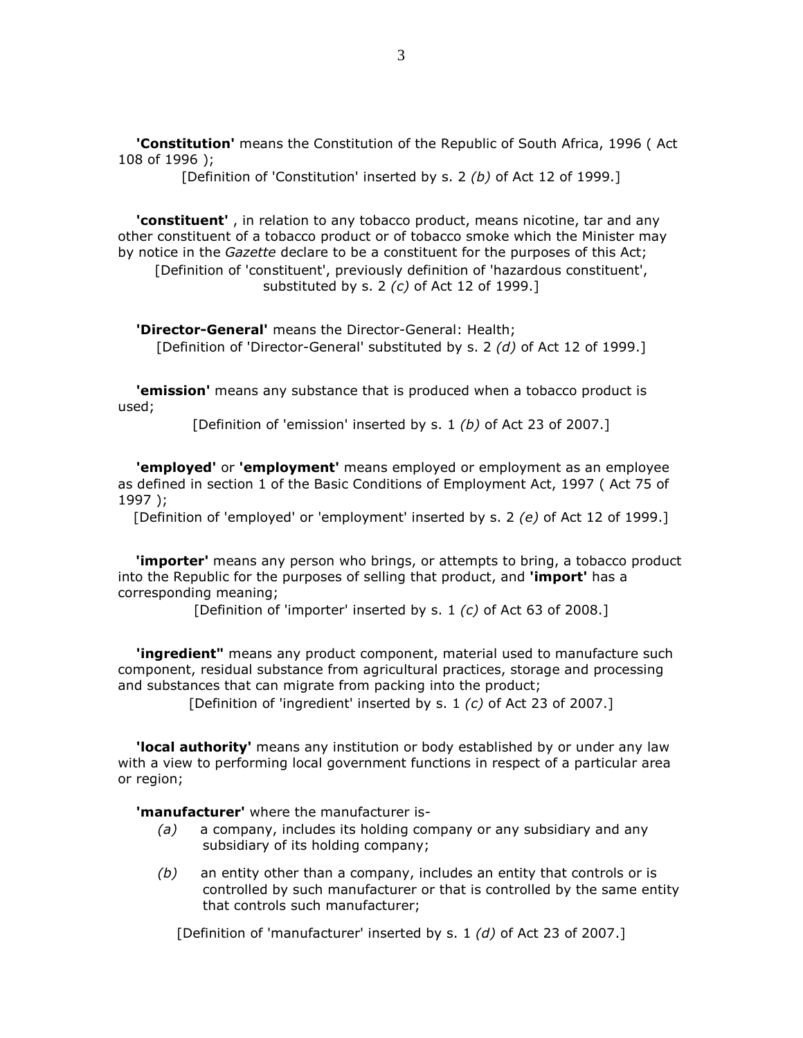'Constitution' means the Constitution of the Republic of South Africa, 1996 (Act 108 of 1996 );

[Definition of 'Constitution' inserted by s. 2 (b) of Act 12 of 1999.]

'constituent', in relation to any tobacco product, means nicotine, tar and any other constituent of a tobacco product or of tobacco smoke which the Minister may by notice in the Gazette declare to be a constituent for the purposes of this Act; [Definition of 'constituent', previously definition of 'hazardous constituent', substituted by s. 2 (c) of Act 12 of 1999.]

 'Director-General' means the Director-General: Health; [Definition of 'Director-General' substituted by s. 2 (d) of Act 12 of 1999.]

'emission' means any substance that is produced when a tobacco product is used;

[Definition of 'emission' inserted by s. 1 (b) of Act 23 of 2007.]

'employed' or 'employment' means employed or employment as an employee as defined in section 1 of the Basic Conditions of Employment Act, 1997 ( Act 75 of 1997 );

[Definition of 'employed' or 'employment' inserted by s. 2 (e) of Act 12 of 1999.]

'importer' means any person who brings, or attempts to bring, a tobacco product into the Republic for the purposes of selling that product, and 'import' has a corresponding meaning;

[Definition of 'importer' inserted by s. 1 (c) of Act 63 of 2008.]

**'ingredient"** means any product component, material used to manufacture such component, residual substance from agricultural practices, storage and processing and substances that can migrate from packing into the product;

[Definition of 'ingredient' inserted by s. 1 (c) of Act 23 of 2007.]

**'local authority'** means any institution or body established by or under any law with a view to performing local government functions in respect of a particular area or region;

**'manufacturer'** where the manufacturer is-

- (a) a company, includes its holding company or any subsidiary and any subsidiary of its holding company;
- $(b)$  an entity other than a company, includes an entity that controls or is controlled by such manufacturer or that is controlled by the same entity that controls such manufacturer;

[Definition of 'manufacturer' inserted by s. 1 (d) of Act 23 of 2007.]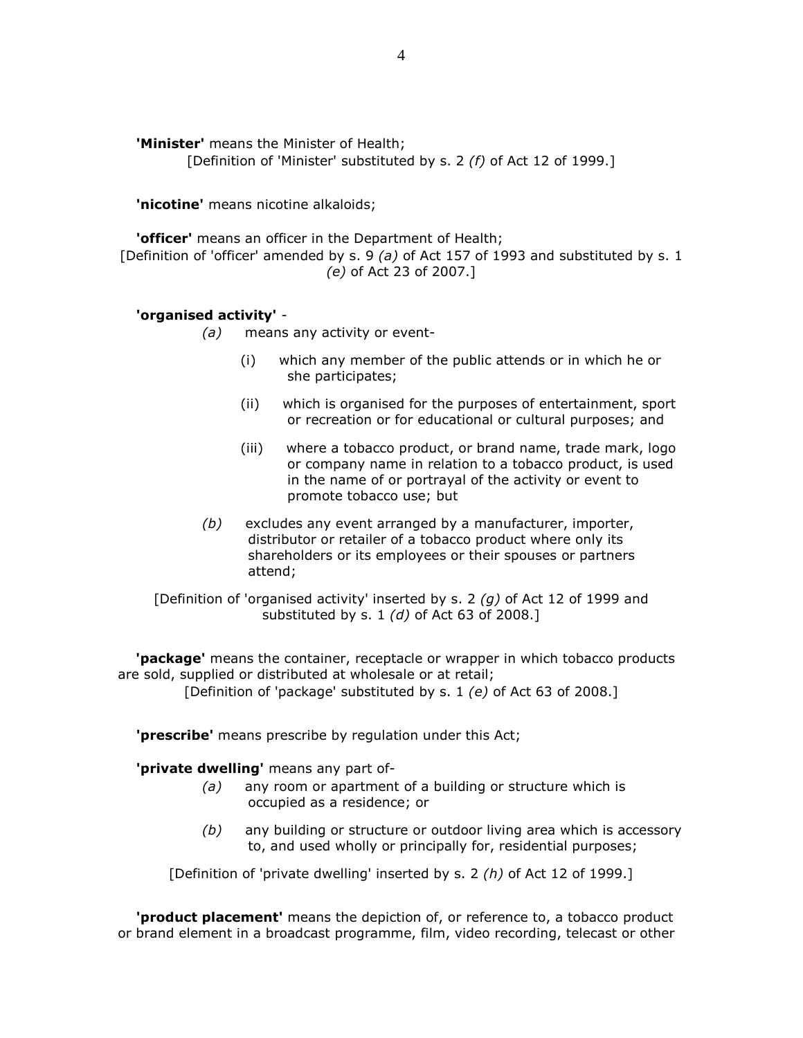'Minister' means the Minister of Health;

[Definition of 'Minister' substituted by s. 2 (f) of Act 12 of 1999.]

'nicotine' means nicotine alkaloids;

'officer' means an officer in the Department of Health; [Definition of 'officer' amended by s. 9 (a) of Act 157 of 1993 and substituted by s. 1 (e) of Act 23 of 2007.]

# 'organised activity' -

(a) means any activity or event-

- (i) which any member of the public attends or in which he or she participates;
- (ii) which is organised for the purposes of entertainment, sport or recreation or for educational or cultural purposes; and
- (iii) where a tobacco product, or brand name, trade mark, logo or company name in relation to a tobacco product, is used in the name of or portrayal of the activity or event to promote tobacco use; but
- (b) excludes any event arranged by a manufacturer, importer, distributor or retailer of a tobacco product where only its shareholders or its employees or their spouses or partners attend;

[Definition of 'organised activity' inserted by s. 2  $(g)$  of Act 12 of 1999 and substituted by s. 1  $(d)$  of Act 63 of 2008.]

**package'** means the container, receptacle or wrapper in which tobacco products are sold, supplied or distributed at wholesale or at retail;

[Definition of 'package' substituted by s. 1 (e) of Act 63 of 2008.]

'prescribe' means prescribe by regulation under this Act;

'**private dwelling'** means any part of-

- (a) any room or apartment of a building or structure which is occupied as a residence; or
- (b) any building or structure or outdoor living area which is accessory to, and used wholly or principally for, residential purposes;

[Definition of 'private dwelling' inserted by s. 2 (h) of Act 12 of 1999.]

 'product placement' means the depiction of, or reference to, a tobacco product or brand element in a broadcast programme, film, video recording, telecast or other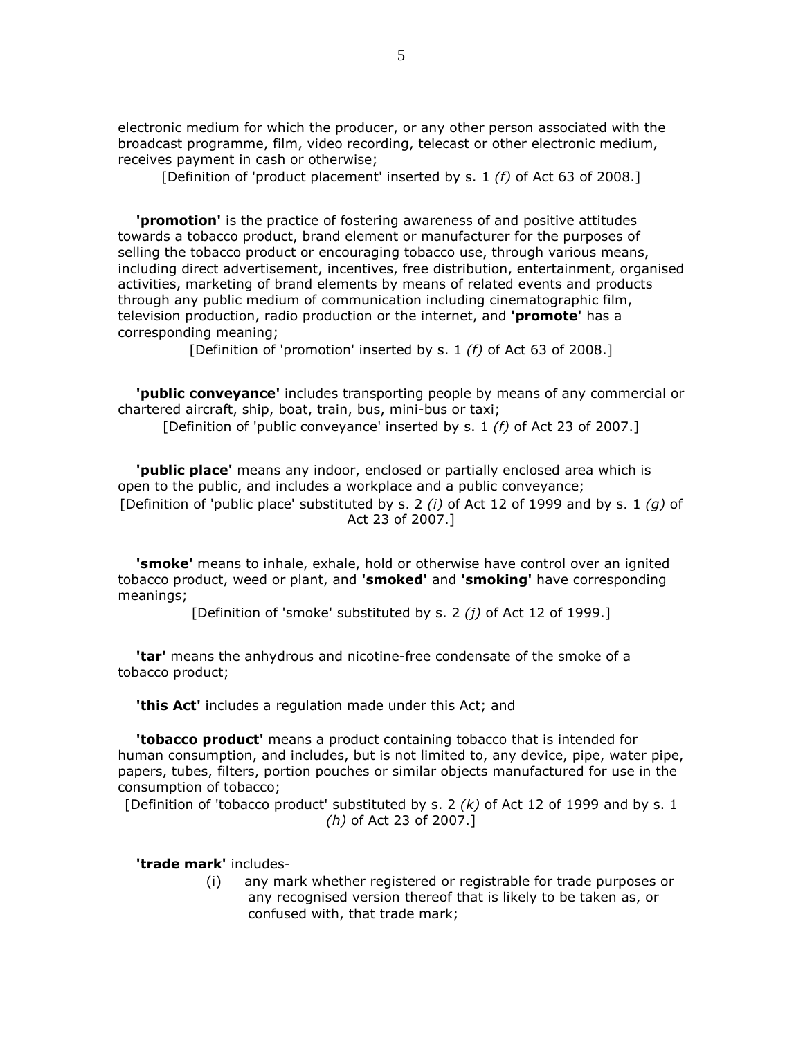electronic medium for which the producer, or any other person associated with the broadcast programme, film, video recording, telecast or other electronic medium, receives payment in cash or otherwise;

[Definition of 'product placement' inserted by s. 1 (f) of Act 63 of 2008.]

**'promotion'** is the practice of fostering awareness of and positive attitudes towards a tobacco product, brand element or manufacturer for the purposes of selling the tobacco product or encouraging tobacco use, through various means, including direct advertisement, incentives, free distribution, entertainment, organised activities, marketing of brand elements by means of related events and products through any public medium of communication including cinematographic film, television production, radio production or the internet, and 'promote' has a corresponding meaning;

[Definition of 'promotion' inserted by s. 1 (f) of Act 63 of 2008.]

 'public conveyance' includes transporting people by means of any commercial or chartered aircraft, ship, boat, train, bus, mini-bus or taxi;

[Definition of 'public conveyance' inserted by s. 1 (f) of Act 23 of 2007.]

'public place' means any indoor, enclosed or partially enclosed area which is open to the public, and includes a workplace and a public conveyance; [Definition of 'public place' substituted by s. 2 (i) of Act 12 of 1999 and by s. 1 (g) of Act 23 of 2007.]

**'smoke'** means to inhale, exhale, hold or otherwise have control over an ignited tobacco product, weed or plant, and 'smoked' and 'smoking' have corresponding meanings;

[Definition of 'smoke' substituted by s. 2 (*i*) of Act 12 of 1999.]

 'tar' means the anhydrous and nicotine-free condensate of the smoke of a tobacco product;

**'this Act'** includes a regulation made under this Act; and

 'tobacco product' means a product containing tobacco that is intended for human consumption, and includes, but is not limited to, any device, pipe, water pipe, papers, tubes, filters, portion pouches or similar objects manufactured for use in the consumption of tobacco;

[Definition of 'tobacco product' substituted by s. 2  $(k)$  of Act 12 of 1999 and by s. 1 (h) of Act 23 of 2007.]

'trade mark' includes-

 (i) any mark whether registered or registrable for trade purposes or any recognised version thereof that is likely to be taken as, or confused with, that trade mark;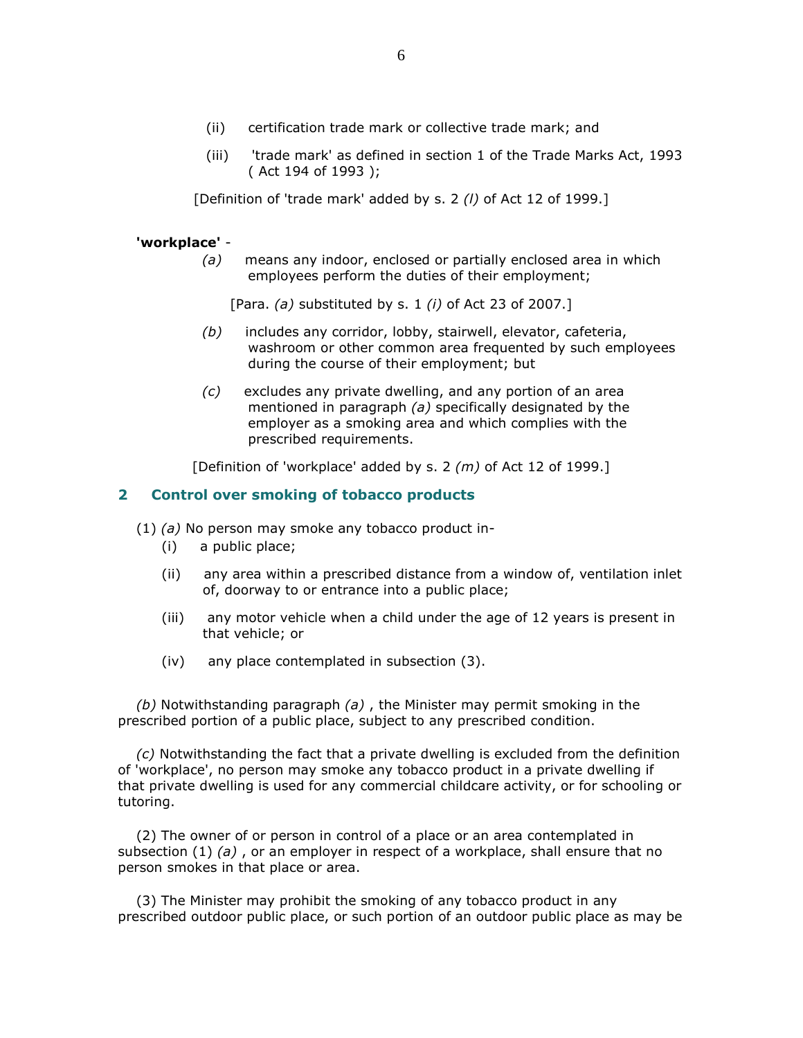- (ii) certification trade mark or collective trade mark; and
- (iii) 'trade mark' as defined in section 1 of the Trade Marks Act, 1993 ( Act 194 of 1993 );

[Definition of 'trade mark' added by s. 2 (I) of Act 12 of 1999.]

### 'workplace' -

 $(a)$  means any indoor, enclosed or partially enclosed area in which employees perform the duties of their employment;

[Para. (a) substituted by s. 1 (i) of Act 23 of 2007.]

- (b) includes any corridor, lobby, stairwell, elevator, cafeteria, washroom or other common area frequented by such employees during the course of their employment; but
- (c) excludes any private dwelling, and any portion of an area mentioned in paragraph (a) specifically designated by the employer as a smoking area and which complies with the prescribed requirements.

[Definition of 'workplace' added by s. 2  $(m)$  of Act 12 of 1999.]

### 2 Control over smoking of tobacco products

 $(1)$  (a) No person may smoke any tobacco product in-

- (i) a public place;
- (ii) any area within a prescribed distance from a window of, ventilation inlet of, doorway to or entrance into a public place;
- (iii) any motor vehicle when a child under the age of 12 years is present in that vehicle; or
- (iv) any place contemplated in subsection (3).

(b) Notwithstanding paragraph (a), the Minister may permit smoking in the prescribed portion of a public place, subject to any prescribed condition.

 $(c)$  Notwithstanding the fact that a private dwelling is excluded from the definition of 'workplace', no person may smoke any tobacco product in a private dwelling if that private dwelling is used for any commercial childcare activity, or for schooling or tutoring.

 (2) The owner of or person in control of a place or an area contemplated in subsection  $(1)$  (a), or an employer in respect of a workplace, shall ensure that no person smokes in that place or area.

 (3) The Minister may prohibit the smoking of any tobacco product in any prescribed outdoor public place, or such portion of an outdoor public place as may be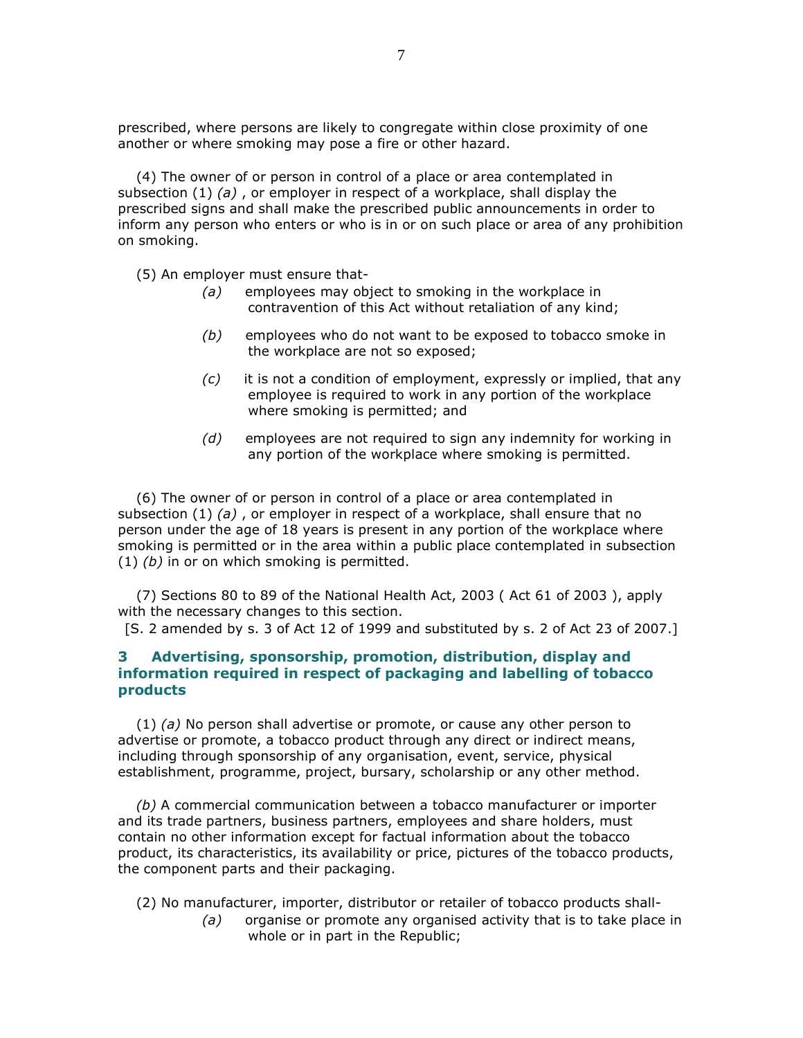prescribed, where persons are likely to congregate within close proximity of one another or where smoking may pose a fire or other hazard.

 (4) The owner of or person in control of a place or area contemplated in subsection  $(1)$  (a), or employer in respect of a workplace, shall display the prescribed signs and shall make the prescribed public announcements in order to inform any person who enters or who is in or on such place or area of any prohibition on smoking.

(5) An employer must ensure that-

- (a) employees may object to smoking in the workplace in contravention of this Act without retaliation of any kind;
- (b) employees who do not want to be exposed to tobacco smoke in the workplace are not so exposed;
- (c) it is not a condition of employment, expressly or implied, that any employee is required to work in any portion of the workplace where smoking is permitted; and
- $(d)$  employees are not required to sign any indemnity for working in any portion of the workplace where smoking is permitted.

 (6) The owner of or person in control of a place or area contemplated in subsection  $(1)$   $(a)$ , or employer in respect of a workplace, shall ensure that no person under the age of 18 years is present in any portion of the workplace where smoking is permitted or in the area within a public place contemplated in subsection  $(1)$   $(b)$  in or on which smoking is permitted.

 (7) Sections 80 to 89 of the National Health Act, 2003 ( Act 61 of 2003 ), apply with the necessary changes to this section.

[S. 2 amended by s. 3 of Act 12 of 1999 and substituted by s. 2 of Act 23 of 2007.]

## 3 Advertising, sponsorship, promotion, distribution, display and information required in respect of packaging and labelling of tobacco products

 $(1)$  (a) No person shall advertise or promote, or cause any other person to advertise or promote, a tobacco product through any direct or indirect means, including through sponsorship of any organisation, event, service, physical establishment, programme, project, bursary, scholarship or any other method.

 (b) A commercial communication between a tobacco manufacturer or importer and its trade partners, business partners, employees and share holders, must contain no other information except for factual information about the tobacco product, its characteristics, its availability or price, pictures of the tobacco products, the component parts and their packaging.

- (2) No manufacturer, importer, distributor or retailer of tobacco products shall-
	- (a) organise or promote any organised activity that is to take place in whole or in part in the Republic;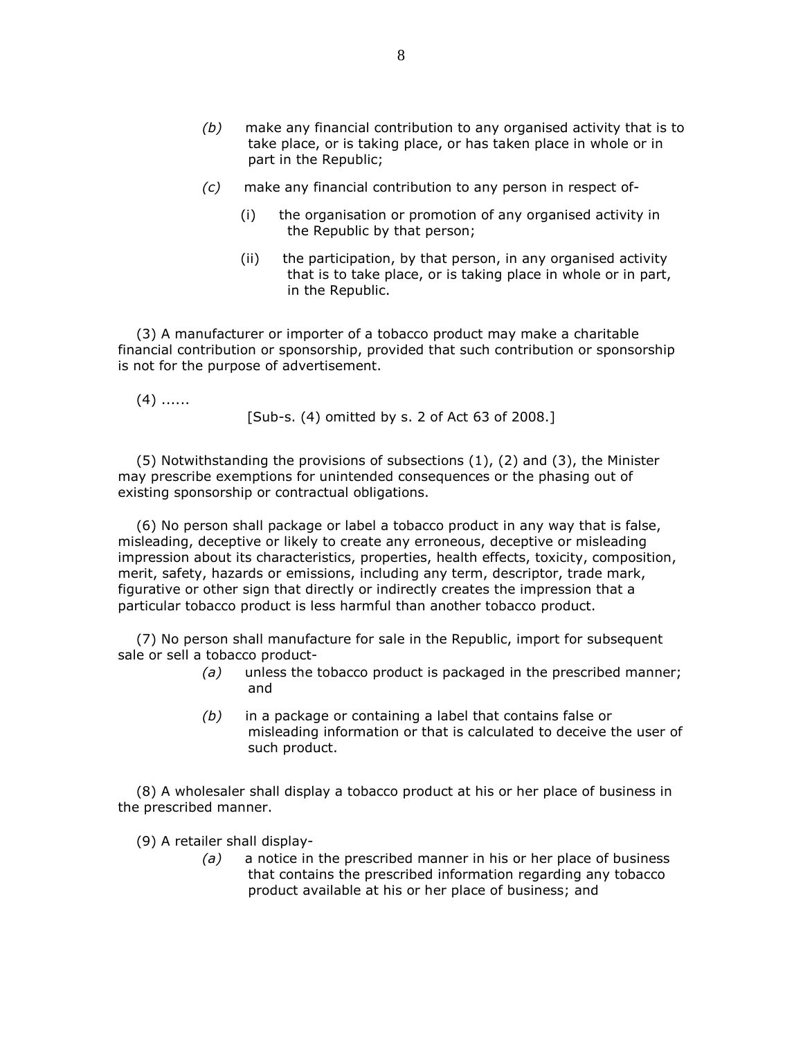- (b) make any financial contribution to any organised activity that is to take place, or is taking place, or has taken place in whole or in part in the Republic;
- (c) make any financial contribution to any person in respect of-
	- (i) the organisation or promotion of any organised activity in the Republic by that person;
	- (ii) the participation, by that person, in any organised activity that is to take place, or is taking place in whole or in part, in the Republic.

 (3) A manufacturer or importer of a tobacco product may make a charitable financial contribution or sponsorship, provided that such contribution or sponsorship is not for the purpose of advertisement.

 $(4)$  ......

[Sub-s. (4) omitted by s. 2 of Act 63 of 2008.]

 (5) Notwithstanding the provisions of subsections (1), (2) and (3), the Minister may prescribe exemptions for unintended consequences or the phasing out of existing sponsorship or contractual obligations.

 (6) No person shall package or label a tobacco product in any way that is false, misleading, deceptive or likely to create any erroneous, deceptive or misleading impression about its characteristics, properties, health effects, toxicity, composition, merit, safety, hazards or emissions, including any term, descriptor, trade mark, figurative or other sign that directly or indirectly creates the impression that a particular tobacco product is less harmful than another tobacco product.

 (7) No person shall manufacture for sale in the Republic, import for subsequent sale or sell a tobacco product-

- (a) unless the tobacco product is packaged in the prescribed manner; and
- $(b)$  in a package or containing a label that contains false or misleading information or that is calculated to deceive the user of such product.

 (8) A wholesaler shall display a tobacco product at his or her place of business in the prescribed manner.

(9) A retailer shall display-

 $(a)$  a notice in the prescribed manner in his or her place of business that contains the prescribed information regarding any tobacco product available at his or her place of business; and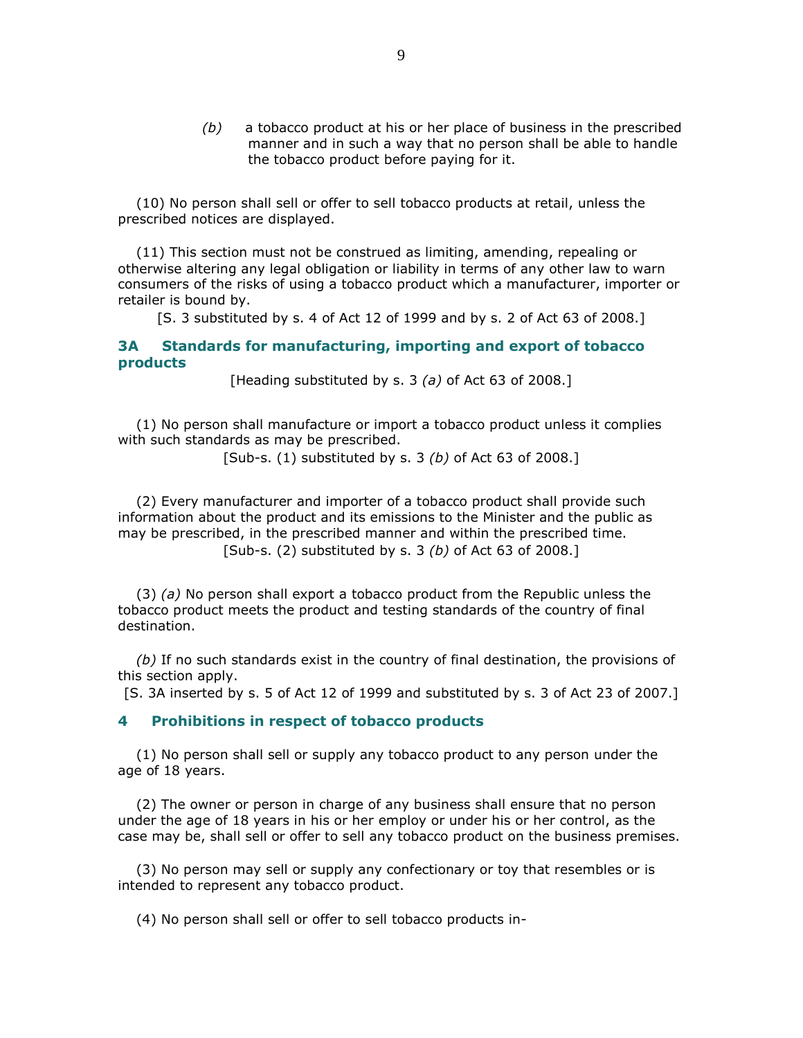$(b)$  a tobacco product at his or her place of business in the prescribed manner and in such a way that no person shall be able to handle the tobacco product before paying for it.

 (10) No person shall sell or offer to sell tobacco products at retail, unless the prescribed notices are displayed.

 (11) This section must not be construed as limiting, amending, repealing or otherwise altering any legal obligation or liability in terms of any other law to warn consumers of the risks of using a tobacco product which a manufacturer, importer or retailer is bound by.

[S. 3 substituted by s. 4 of Act 12 of 1999 and by s. 2 of Act 63 of 2008.]

### 3A Standards for manufacturing, importing and export of tobacco products

[Heading substituted by s. 3 (a) of Act 63 of 2008.]

 (1) No person shall manufacture or import a tobacco product unless it complies with such standards as may be prescribed.

[Sub-s.  $(1)$  substituted by s. 3  $(b)$  of Act 63 of 2008.]

 (2) Every manufacturer and importer of a tobacco product shall provide such information about the product and its emissions to the Minister and the public as may be prescribed, in the prescribed manner and within the prescribed time. [Sub-s.  $(2)$  substituted by s. 3  $(b)$  of Act 63 of 2008.]

 $(3)$  (a) No person shall export a tobacco product from the Republic unless the tobacco product meets the product and testing standards of the country of final destination.

 (b) If no such standards exist in the country of final destination, the provisions of this section apply.

[S. 3A inserted by s. 5 of Act 12 of 1999 and substituted by s. 3 of Act 23 of 2007.]

#### 4 Prohibitions in respect of tobacco products

 (1) No person shall sell or supply any tobacco product to any person under the age of 18 years.

 (2) The owner or person in charge of any business shall ensure that no person under the age of 18 years in his or her employ or under his or her control, as the case may be, shall sell or offer to sell any tobacco product on the business premises.

 (3) No person may sell or supply any confectionary or toy that resembles or is intended to represent any tobacco product.

(4) No person shall sell or offer to sell tobacco products in-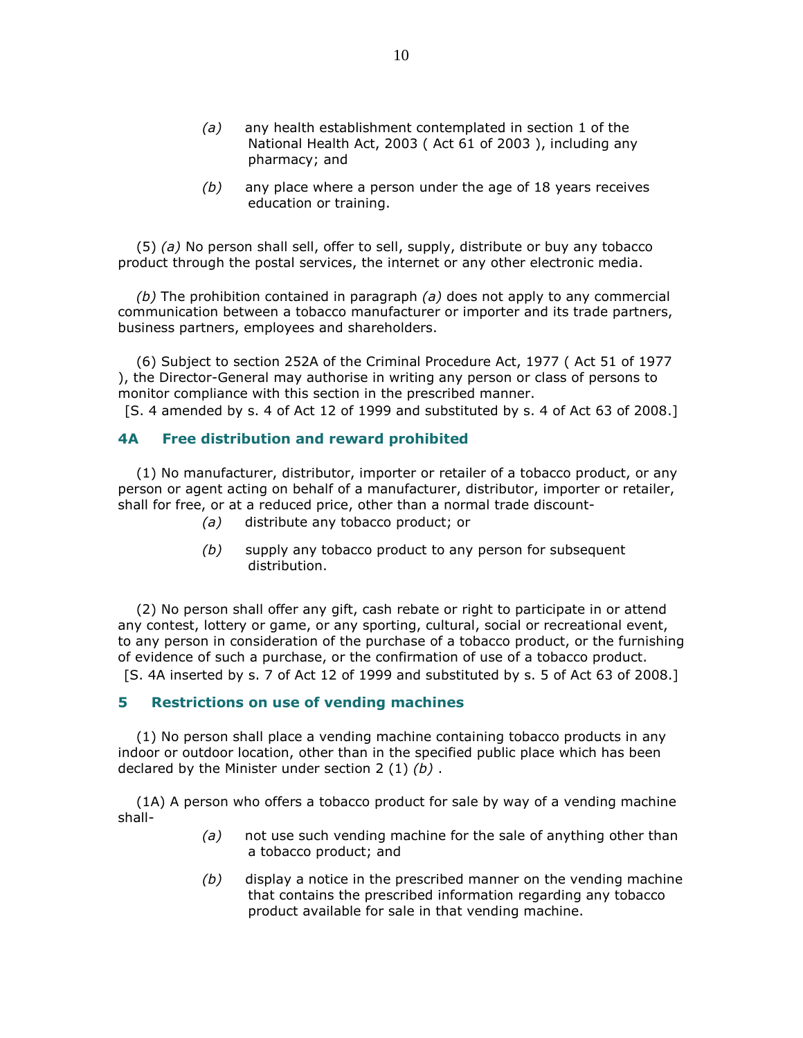- (a) any health establishment contemplated in section 1 of the National Health Act, 2003 ( Act 61 of 2003 ), including any pharmacy; and
- $(b)$  any place where a person under the age of 18 years receives education or training.

 $(5)$  (a) No person shall sell, offer to sell, supply, distribute or buy any tobacco product through the postal services, the internet or any other electronic media.

(b) The prohibition contained in paragraph  $(a)$  does not apply to any commercial communication between a tobacco manufacturer or importer and its trade partners, business partners, employees and shareholders.

 (6) Subject to section 252A of the Criminal Procedure Act, 1977 ( Act 51 of 1977 ), the Director-General may authorise in writing any person or class of persons to monitor compliance with this section in the prescribed manner.

[S. 4 amended by s. 4 of Act 12 of 1999 and substituted by s. 4 of Act 63 of 2008.]

### 4A Free distribution and reward prohibited

 (1) No manufacturer, distributor, importer or retailer of a tobacco product, or any person or agent acting on behalf of a manufacturer, distributor, importer or retailer, shall for free, or at a reduced price, other than a normal trade discount-

- (a) distribute any tobacco product; or
- $(b)$  supply any tobacco product to any person for subsequent distribution.

 (2) No person shall offer any gift, cash rebate or right to participate in or attend any contest, lottery or game, or any sporting, cultural, social or recreational event, to any person in consideration of the purchase of a tobacco product, or the furnishing of evidence of such a purchase, or the confirmation of use of a tobacco product. [S. 4A inserted by s. 7 of Act 12 of 1999 and substituted by s. 5 of Act 63 of 2008.]

#### 5 Restrictions on use of vending machines

 (1) No person shall place a vending machine containing tobacco products in any indoor or outdoor location, other than in the specified public place which has been declared by the Minister under section  $2(1)(b)$ .

 (1A) A person who offers a tobacco product for sale by way of a vending machine shall-

- $(a)$  not use such vending machine for the sale of anything other than a tobacco product; and
- $(b)$  display a notice in the prescribed manner on the vending machine that contains the prescribed information regarding any tobacco product available for sale in that vending machine.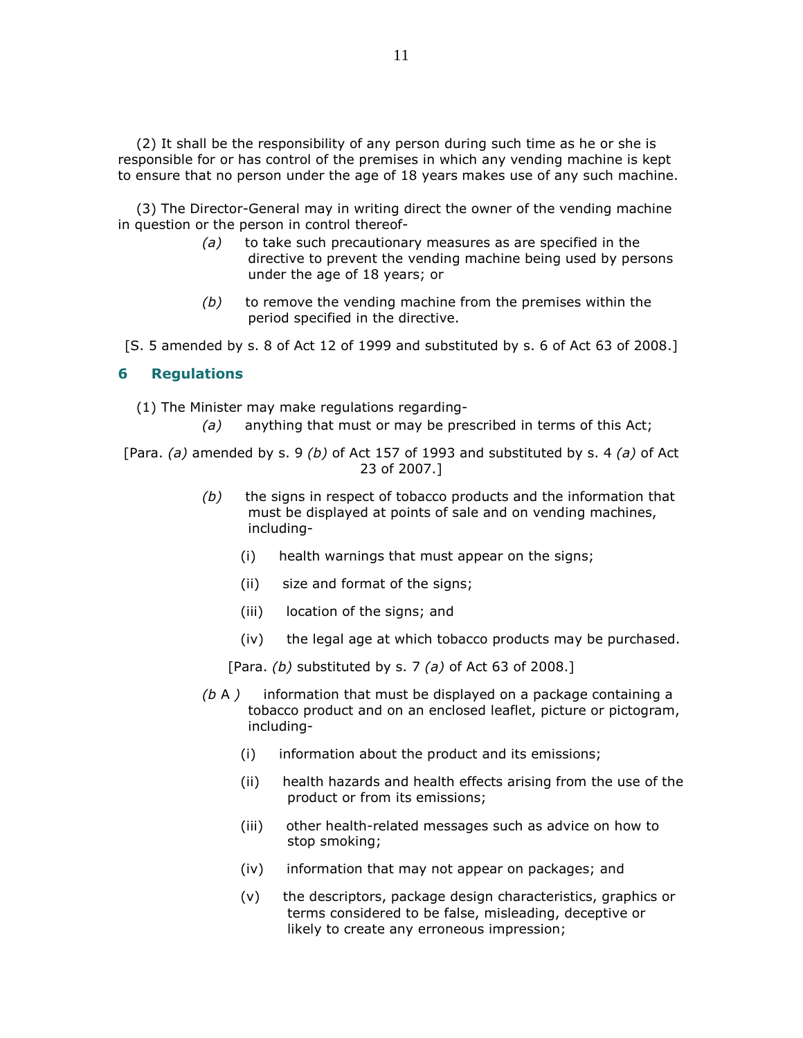(2) It shall be the responsibility of any person during such time as he or she is responsible for or has control of the premises in which any vending machine is kept to ensure that no person under the age of 18 years makes use of any such machine.

 (3) The Director-General may in writing direct the owner of the vending machine in question or the person in control thereof-

- $(a)$  to take such precautionary measures as are specified in the directive to prevent the vending machine being used by persons under the age of 18 years; or
- $(b)$  to remove the vending machine from the premises within the period specified in the directive.

[S. 5 amended by s. 8 of Act 12 of 1999 and substituted by s. 6 of Act 63 of 2008.]

#### 6 Regulations

(1) The Minister may make regulations regarding-

 $(a)$  anything that must or may be prescribed in terms of this Act;

[Para. (a) amended by s. 9 (b) of Act 157 of 1993 and substituted by s. 4 (a) of Act 23 of 2007.]

- $(b)$  the signs in respect of tobacco products and the information that must be displayed at points of sale and on vending machines, including-
	- (i) health warnings that must appear on the signs;
	- (ii) size and format of the signs;
	- (iii) location of the signs; and
	- (iv) the legal age at which tobacco products may be purchased.

[Para. (b) substituted by s. 7 (a) of Act 63 of 2008.]

- $(b A)$  information that must be displayed on a package containing a tobacco product and on an enclosed leaflet, picture or pictogram, including-
	- (i) information about the product and its emissions;
	- (ii) health hazards and health effects arising from the use of the product or from its emissions;
	- (iii) other health-related messages such as advice on how to stop smoking;
	- (iv) information that may not appear on packages; and
	- (v) the descriptors, package design characteristics, graphics or terms considered to be false, misleading, deceptive or likely to create any erroneous impression;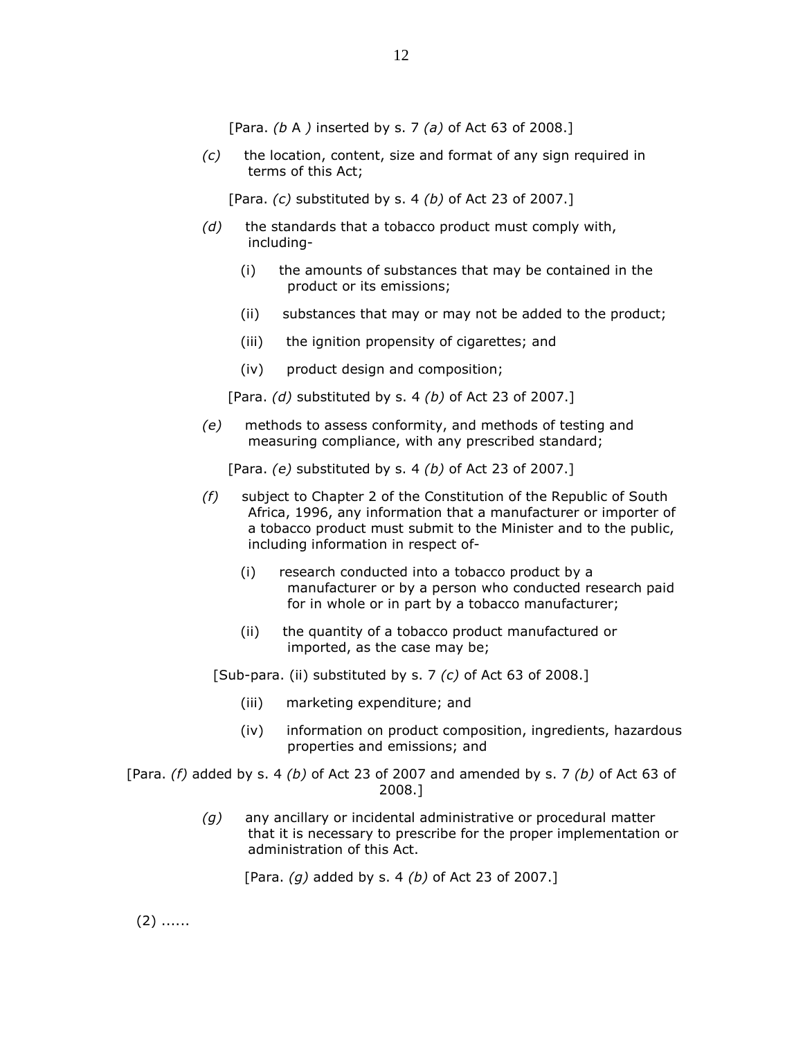[Para. (b A ) inserted by s. 7 (a) of Act 63 of 2008.]

 $(c)$  the location, content, size and format of any sign required in terms of this Act;

[Para.  $(c)$  substituted by s. 4  $(b)$  of Act 23 of 2007.]

- $(d)$  the standards that a tobacco product must comply with, including-
	- (i) the amounts of substances that may be contained in the product or its emissions;
	- (ii) substances that may or may not be added to the product;
	- (iii) the ignition propensity of cigarettes; and
	- (iv) product design and composition;

[Para. (d) substituted by s. 4 (b) of Act 23 of 2007.]

 (e) methods to assess conformity, and methods of testing and measuring compliance, with any prescribed standard;

[Para.  $(e)$  substituted by s. 4  $(b)$  of Act 23 of 2007.]

- (f) subject to Chapter 2 of the Constitution of the Republic of South Africa, 1996, any information that a manufacturer or importer of a tobacco product must submit to the Minister and to the public, including information in respect of-
	- (i) research conducted into a tobacco product by a manufacturer or by a person who conducted research paid for in whole or in part by a tobacco manufacturer;
	- (ii) the quantity of a tobacco product manufactured or imported, as the case may be;

[Sub-para. (ii) substituted by s. 7  $(c)$  of Act 63 of 2008.]

- (iii) marketing expenditure; and
- (iv) information on product composition, ingredients, hazardous properties and emissions; and
- [Para. (f) added by s. 4 (b) of Act 23 of 2007 and amended by s. 7 (b) of Act 63 of 2008.]
	- $(q)$  any ancillary or incidental administrative or procedural matter that it is necessary to prescribe for the proper implementation or administration of this Act.

[Para.  $(g)$  added by s. 4  $(b)$  of Act 23 of 2007.]

 $(2)$  ......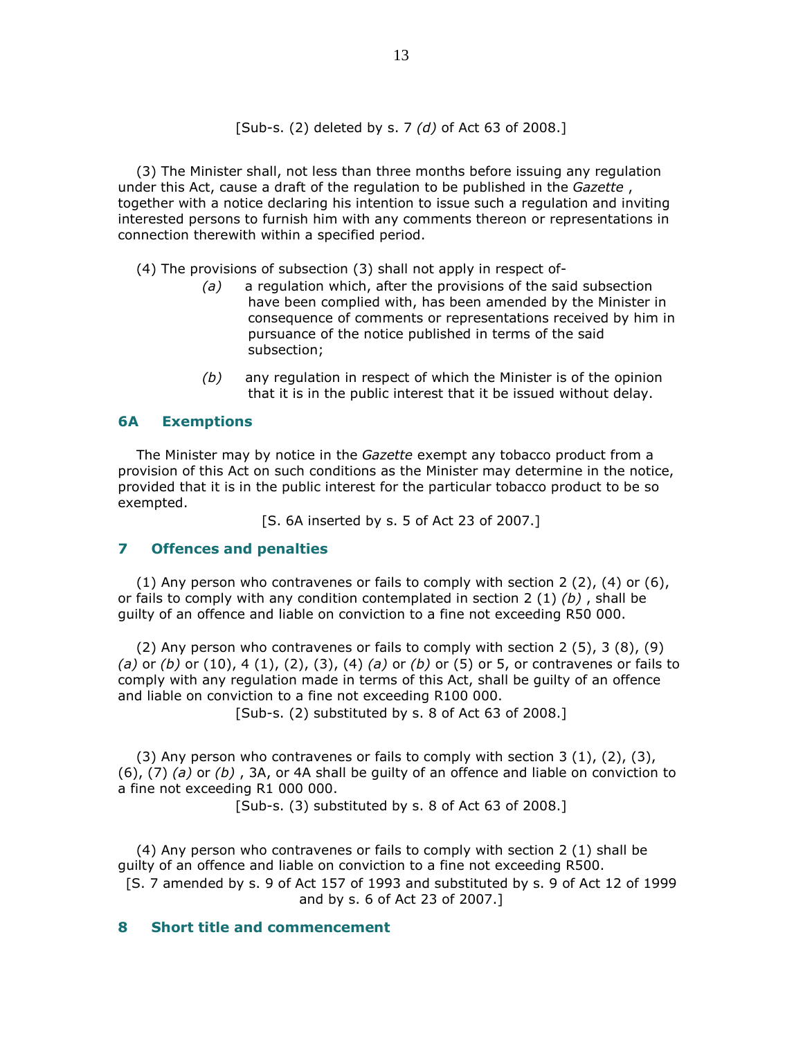[Sub-s. (2) deleted by s. 7 (d) of Act 63 of 2008.]

 (3) The Minister shall, not less than three months before issuing any regulation under this Act, cause a draft of the regulation to be published in the Gazette, together with a notice declaring his intention to issue such a regulation and inviting interested persons to furnish him with any comments thereon or representations in connection therewith within a specified period.

(4) The provisions of subsection (3) shall not apply in respect of-

- $(a)$  a regulation which, after the provisions of the said subsection have been complied with, has been amended by the Minister in consequence of comments or representations received by him in pursuance of the notice published in terms of the said subsection;
- $(b)$  any regulation in respect of which the Minister is of the opinion that it is in the public interest that it be issued without delay.

## 6A Exemptions

 The Minister may by notice in the Gazette exempt any tobacco product from a provision of this Act on such conditions as the Minister may determine in the notice, provided that it is in the public interest for the particular tobacco product to be so exempted.

[S. 6A inserted by s. 5 of Act 23 of 2007.]

#### 7 Offences and penalties

(1) Any person who contravenes or fails to comply with section 2  $(2)$ ,  $(4)$  or  $(6)$ , or fails to comply with any condition contemplated in section 2 (1)  $(b)$ , shall be guilty of an offence and liable on conviction to a fine not exceeding R50 000.

 (2) Any person who contravenes or fails to comply with section 2 (5), 3 (8), (9) (a) or (b) or (10), 4 (1), (2), (3), (4) (a) or (b) or (5) or 5, or contravenes or fails to comply with any regulation made in terms of this Act, shall be guilty of an offence and liable on conviction to a fine not exceeding R100 000.

[Sub-s. (2) substituted by s. 8 of Act 63 of 2008.]

(3) Any person who contravenes or fails to comply with section 3  $(1)$ ,  $(2)$ ,  $(3)$ ,  $(6)$ ,  $(7)$   $(a)$  or  $(b)$ ,  $3A$ , or 4A shall be quilty of an offence and liable on conviction to a fine not exceeding R1 000 000.

[Sub-s. (3) substituted by s. 8 of Act 63 of 2008.]

 (4) Any person who contravenes or fails to comply with section 2 (1) shall be guilty of an offence and liable on conviction to a fine not exceeding R500. [S. 7 amended by s. 9 of Act 157 of 1993 and substituted by s. 9 of Act 12 of 1999 and by s. 6 of Act 23 of 2007.]

### 8 Short title and commencement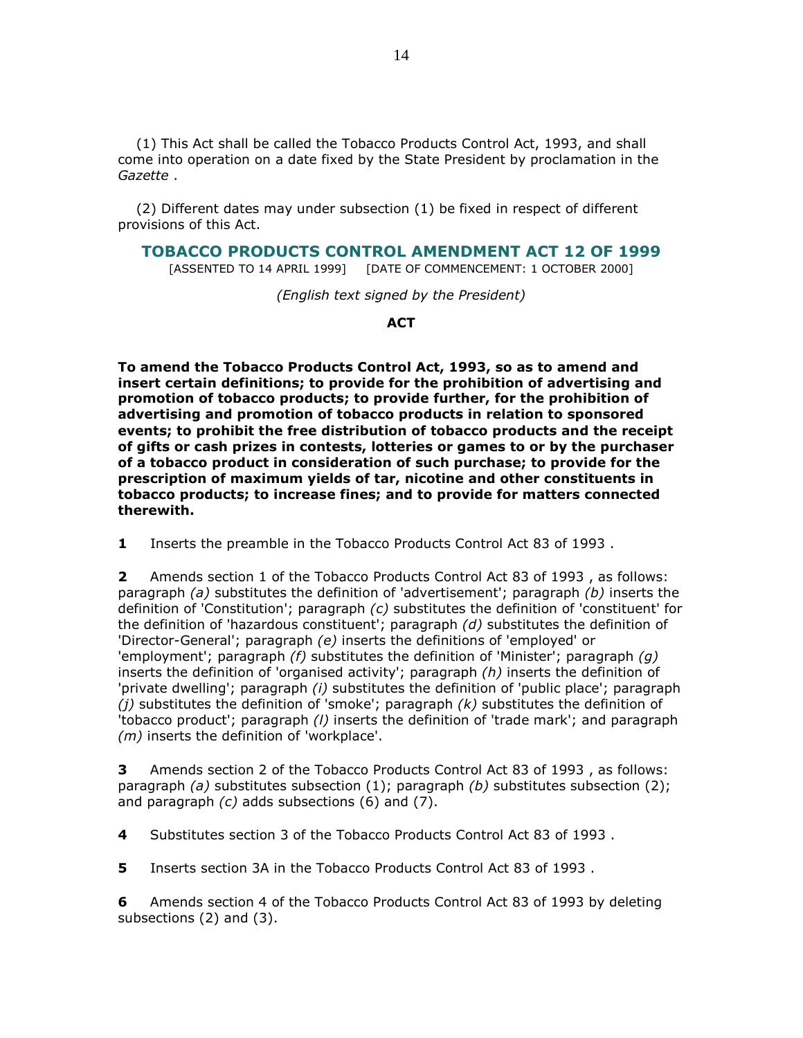(1) This Act shall be called the Tobacco Products Control Act, 1993, and shall come into operation on a date fixed by the State President by proclamation in the Gazette .

 (2) Different dates may under subsection (1) be fixed in respect of different provisions of this Act.

### TOBACCO PRODUCTS CONTROL AMENDMENT ACT 12 OF 1999

[ASSENTED TO 14 APRIL 1999] [DATE OF COMMENCEMENT: 1 OCTOBER 2000]

(English text signed by the President)

**ACT** 

To amend the Tobacco Products Control Act, 1993, so as to amend and insert certain definitions; to provide for the prohibition of advertising and promotion of tobacco products; to provide further, for the prohibition of advertising and promotion of tobacco products in relation to sponsored events; to prohibit the free distribution of tobacco products and the receipt of gifts or cash prizes in contests, lotteries or games to or by the purchaser of a tobacco product in consideration of such purchase; to provide for the prescription of maximum yields of tar, nicotine and other constituents in tobacco products; to increase fines; and to provide for matters connected therewith.

1 Inserts the preamble in the Tobacco Products Control Act 83 of 1993 .

2 Amends section 1 of the Tobacco Products Control Act 83 of 1993 , as follows: paragraph (a) substitutes the definition of 'advertisement'; paragraph  $(b)$  inserts the definition of 'Constitution'; paragraph  $(c)$  substitutes the definition of 'constituent' for the definition of 'hazardous constituent'; paragraph  $(d)$  substitutes the definition of 'Director-General'; paragraph (e) inserts the definitions of 'employed' or 'employment'; paragraph  $(f)$  substitutes the definition of 'Minister'; paragraph  $(q)$ inserts the definition of 'organised activity'; paragraph  $(h)$  inserts the definition of 'private dwelling'; paragraph (i) substitutes the definition of 'public place'; paragraph (*i*) substitutes the definition of 'smoke'; paragraph  $(k)$  substitutes the definition of 'tobacco product'; paragraph (I) inserts the definition of 'trade mark'; and paragraph (*m*) inserts the definition of 'workplace'.

3 Amends section 2 of the Tobacco Products Control Act 83 of 1993 , as follows: paragraph (a) substitutes subsection (1); paragraph (b) substitutes subsection (2); and paragraph (c) adds subsections (6) and (7).

4 Substitutes section 3 of the Tobacco Products Control Act 83 of 1993 .

5 Inserts section 3A in the Tobacco Products Control Act 83 of 1993 .

6 Amends section 4 of the Tobacco Products Control Act 83 of 1993 by deleting subsections (2) and (3).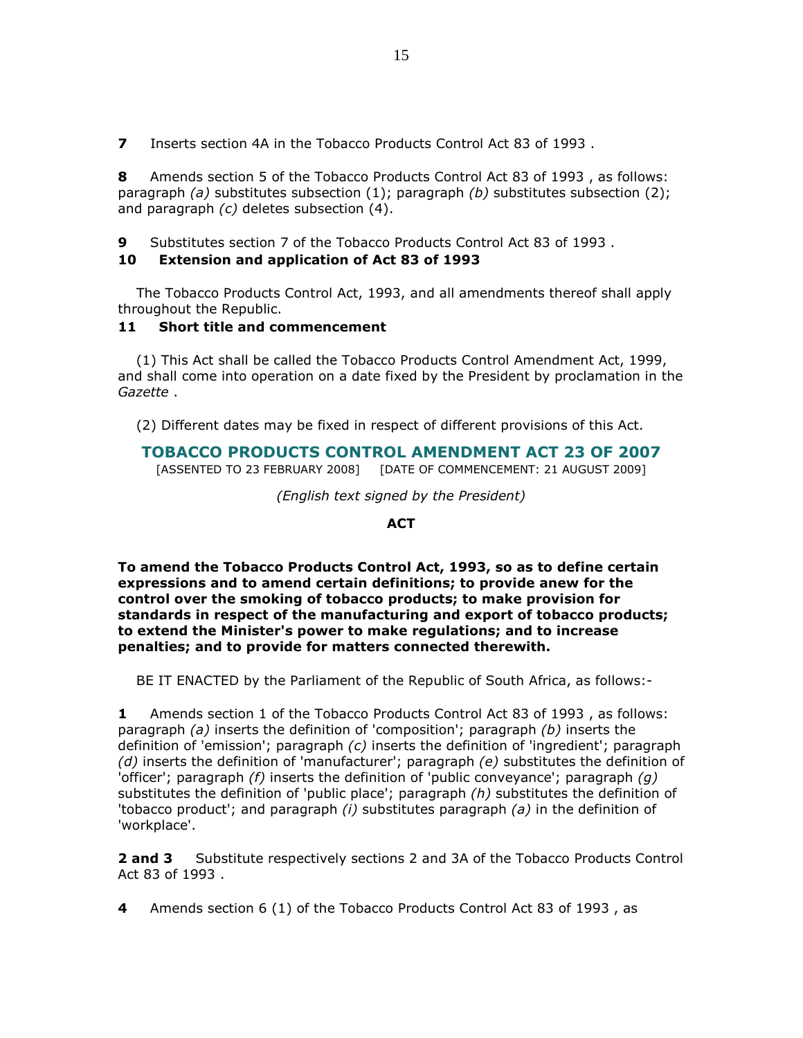7 Inserts section 4A in the Tobacco Products Control Act 83 of 1993.

8 Amends section 5 of the Tobacco Products Control Act 83 of 1993, as follows: paragraph (a) substitutes subsection (1); paragraph (b) substitutes subsection (2); and paragraph (c) deletes subsection (4).

9 Substitutes section 7 of the Tobacco Products Control Act 83 of 1993 .

## 10 Extension and application of Act 83 of 1993

 The Tobacco Products Control Act, 1993, and all amendments thereof shall apply throughout the Republic.

# 11 Short title and commencement

 (1) This Act shall be called the Tobacco Products Control Amendment Act, 1999, and shall come into operation on a date fixed by the President by proclamation in the Gazette .

(2) Different dates may be fixed in respect of different provisions of this Act.

# TOBACCO PRODUCTS CONTROL AMENDMENT ACT 23 OF 2007

[ASSENTED TO 23 FEBRUARY 2008] [DATE OF COMMENCEMENT: 21 AUGUST 2009]

(English text signed by the President)

### ACT

To amend the Tobacco Products Control Act, 1993, so as to define certain expressions and to amend certain definitions; to provide anew for the control over the smoking of tobacco products; to make provision for standards in respect of the manufacturing and export of tobacco products; to extend the Minister's power to make regulations; and to increase penalties; and to provide for matters connected therewith.

BE IT ENACTED by the Parliament of the Republic of South Africa, as follows:-

1 Amends section 1 of the Tobacco Products Control Act 83 of 1993 , as follows: paragraph (a) inserts the definition of 'composition'; paragraph (b) inserts the definition of 'emission'; paragraph  $(c)$  inserts the definition of 'ingredient'; paragraph (d) inserts the definition of 'manufacturer'; paragraph (e) substitutes the definition of 'officer'; paragraph  $(f)$  inserts the definition of 'public conveyance'; paragraph  $(q)$ substitutes the definition of 'public place'; paragraph  $(h)$  substitutes the definition of 'tobacco product'; and paragraph  $(i)$  substitutes paragraph  $(a)$  in the definition of 'workplace'.

**2 and 3** Substitute respectively sections 2 and 3A of the Tobacco Products Control Act 83 of 1993 .

4 Amends section 6 (1) of the Tobacco Products Control Act 83 of 1993, as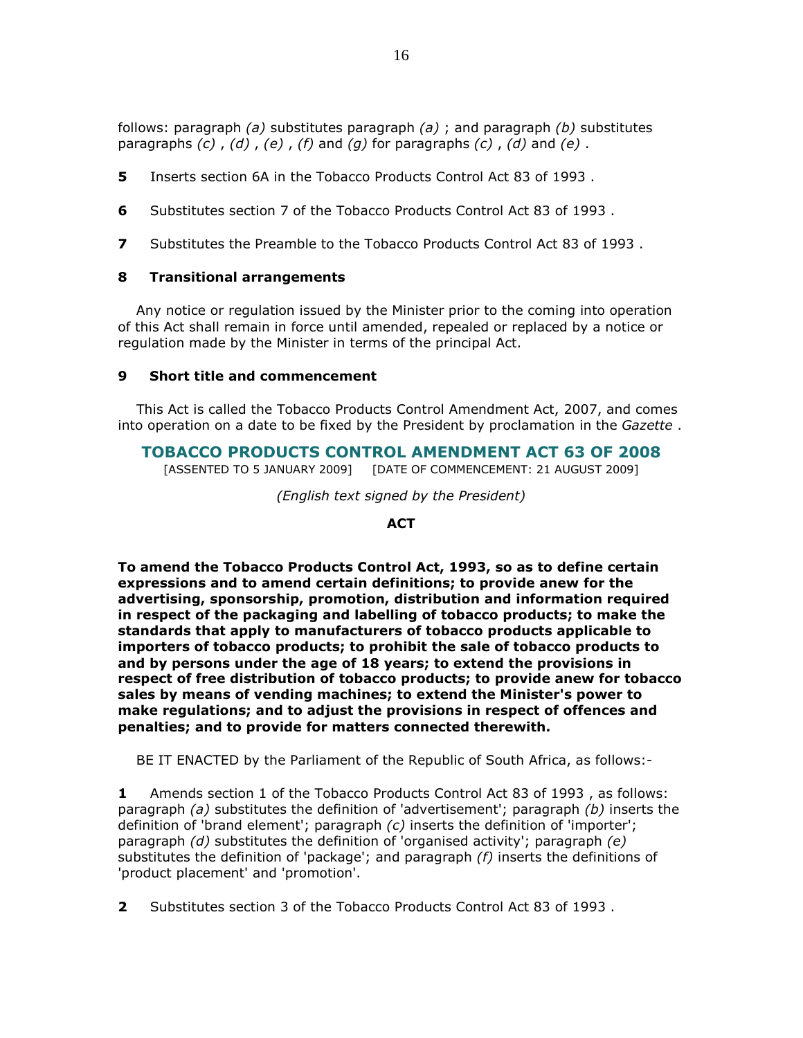follows: paragraph (a) substitutes paragraph (a) ; and paragraph (b) substitutes

paragraphs  $(c)$ ,  $(d)$ ,  $(e)$ ,  $(f)$  and  $(g)$  for paragraphs  $(c)$ ,  $(d)$  and  $(e)$ .

- 5 Inserts section 6A in the Tobacco Products Control Act 83 of 1993 .
- 6 Substitutes section 7 of the Tobacco Products Control Act 83 of 1993 .
- **7** Substitutes the Preamble to the Tobacco Products Control Act 83 of 1993.

# 8 Transitional arrangements

 Any notice or regulation issued by the Minister prior to the coming into operation of this Act shall remain in force until amended, repealed or replaced by a notice or regulation made by the Minister in terms of the principal Act.

## 9 Short title and commencement

 This Act is called the Tobacco Products Control Amendment Act, 2007, and comes into operation on a date to be fixed by the President by proclamation in the Gazette.

# TOBACCO PRODUCTS CONTROL AMENDMENT ACT 63 OF 2008

[ASSENTED TO 5 JANUARY 2009] [DATE OF COMMENCEMENT: 21 AUGUST 2009]

(English text signed by the President)

## ACT

To amend the Tobacco Products Control Act, 1993, so as to define certain expressions and to amend certain definitions; to provide anew for the advertising, sponsorship, promotion, distribution and information required in respect of the packaging and labelling of tobacco products; to make the standards that apply to manufacturers of tobacco products applicable to importers of tobacco products; to prohibit the sale of tobacco products to and by persons under the age of 18 years; to extend the provisions in respect of free distribution of tobacco products; to provide anew for tobacco sales by means of vending machines; to extend the Minister's power to make regulations; and to adjust the provisions in respect of offences and penalties; and to provide for matters connected therewith.

BE IT ENACTED by the Parliament of the Republic of South Africa, as follows:-

1 Amends section 1 of the Tobacco Products Control Act 83 of 1993 , as follows: paragraph (a) substitutes the definition of 'advertisement'; paragraph (b) inserts the definition of 'brand element'; paragraph  $(c)$  inserts the definition of 'importer'; paragraph  $(d)$  substitutes the definition of 'organised activity'; paragraph  $(e)$ substitutes the definition of 'package'; and paragraph  $(f)$  inserts the definitions of 'product placement' and 'promotion'.

2 Substitutes section 3 of the Tobacco Products Control Act 83 of 1993 .